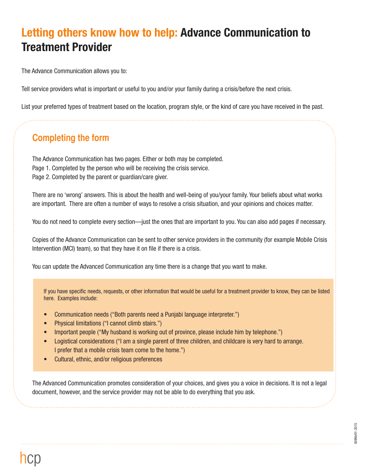## **Letting others know how to help: Advance Communication to Treatment Provider**

The Advance Communication allows you to:

Tell service providers what is important or useful to you and/or your family during a crisis/before the next crisis.

List your preferred types of treatment based on the location, program style, or the kind of care you have received in the past.

## **Completing the form**

The Advance Communication has two pages. Either or both may be completed. Page 1. Completed by the person who will be receiving the crisis service. Page 2. Completed by the parent or guardian/care giver.

There are no 'wrong' answers. This is about the health and well-being of you/your family. Your beliefs about what works are important. There are often a number of ways to resolve a crisis situation, and your opinions and choices matter.

You do not need to complete every section—just the ones that are important to you. You can also add pages if necessary.

Copies of the Advance Communication can be sent to other service providers in the community (for example Mobile Crisis Intervention (MCI) team), so that they have it on file if there is a crisis.

You can update the Advanced Communication any time there is a change that you want to make.

If you have specific needs, requests, or other information that would be useful for a treatment provider to know, they can be listed here. Examples include:

- Communication needs ("Both parents need a Punjabi language interpreter.")
- Physical limitations ("I cannot climb stairs.")
- Important people ("My husband is working out of province, please include him by telephone.")
- Logistical considerations ("I am a single parent of three children, and childcare is very hard to arrange. I prefer that a mobile crisis team come to the home.")
- Cultural, ethnic, and/or religious preferences

The Advanced Communication promotes consideration of your choices, and gives you a voice in decisions. It is not a legal document, however, and the service provider may not be able to do everything that you ask.

5099b/01-2015 5099b/01-2015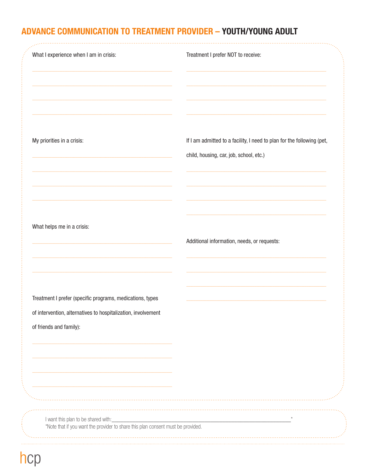## ADVANCE COMMUNICATION TO TREATMENT PROVIDER - YOUTH/YOUNG ADULT

| What I experience when I am in crisis:                                                                                                                | Treatment I prefer NOT to receive:                                                                                |
|-------------------------------------------------------------------------------------------------------------------------------------------------------|-------------------------------------------------------------------------------------------------------------------|
| My priorities in a crisis:                                                                                                                            | If I am admitted to a facility, I need to plan for the following (pet,<br>child, housing, car, job, school, etc.) |
| What helps me in a crisis:                                                                                                                            | Additional information, needs, or requests:                                                                       |
| Treatment I prefer (specific programs, medications, types<br>of intervention, alternatives to hospitalization, involvement<br>of friends and family): |                                                                                                                   |
| I want this plan to be shared with:<br>*Note that if you want the provider to share this plan consent must be provided.                               |                                                                                                                   |